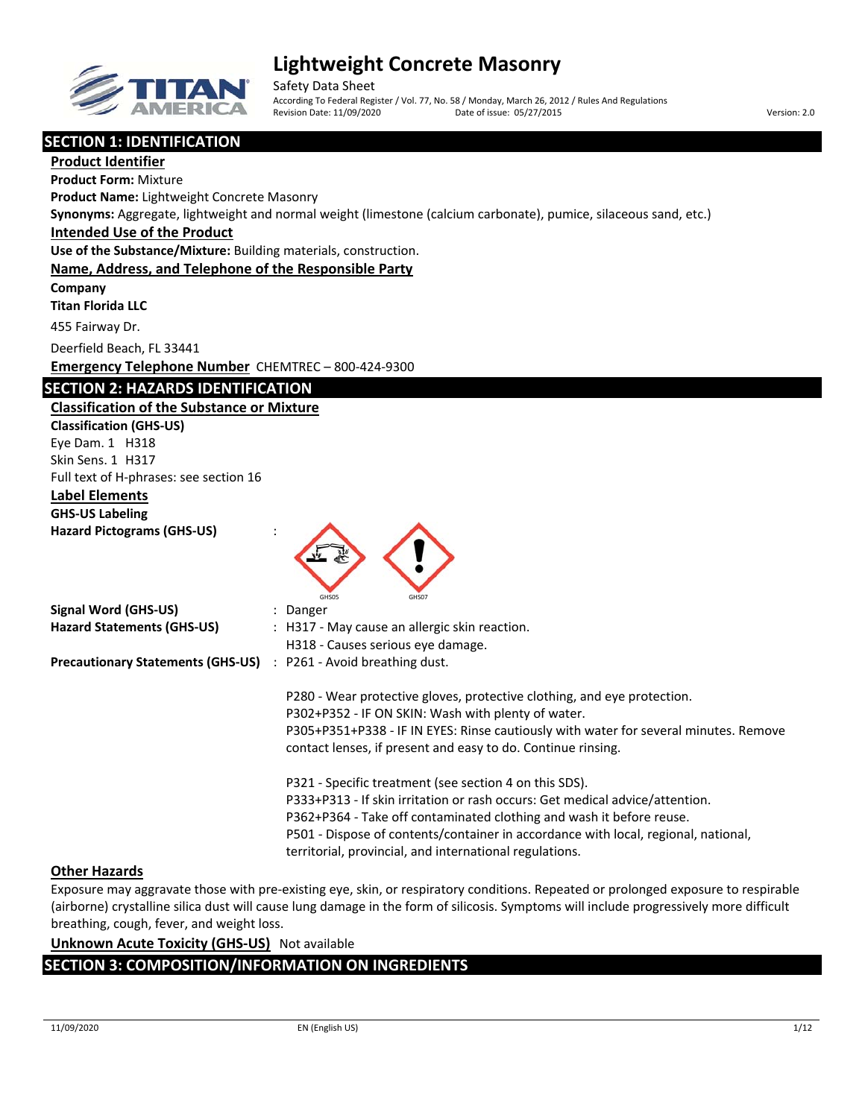

Safety Data Sheet According To Federal Register / Vol. 77, No. 58 / Monday, March 26, 2012 / Rules And Regulations Revision Date: 11/09/2020 Date of issue: 05/27/2015 Version: 2.0

**SECTION 1: IDENTIFICATION**

**Product Identifier Product Form:** Mixture **Product Name:** Lightweight Concrete Masonry **Synonyms:** Aggregate, lightweight and normal weight (limestone (calcium carbonate), pumice, silaceous sand, etc.) **Intended Use of the Product Use of the Substance/Mixture:** Building materials, construction. **Name, Address, and Telephone of the Responsible Party Company Titan Florida LLC** 455 Fairway Dr. Deerfield Beach, FL 33441 **Emergency Telephone Number** CHEMTREC – 800‐424‐9300 **SECTION 2: HAZARDS IDENTIFICATION Classification of the Substance or Mixture Classification (GHS‐US)** Eye Dam. 1 H318 Skin Sens. 1 H317 Full text of H‐phrases: see section 16 **Label Elements GHS‐US Labeling Hazard Pictograms (GHS‐US)** : GHS05 GHS07 **Signal Word (GHS‐US)** : Danger **Hazard Statements (GHS‐US)** : H317 ‐ May cause an allergic skin reaction. H318 ‐ Causes serious eye damage. **Precautionary Statements (GHS‐US)** : P261 ‐ Avoid breathing dust. P280 ‐ Wear protective gloves, protective clothing, and eye protection. P302+P352 ‐ IF ON SKIN: Wash with plenty of water.

P305+P351+P338 ‐ IF IN EYES: Rinse cautiously with water for several minutes. Remove contact lenses, if present and easy to do. Continue rinsing.

P321 ‐ Specific treatment (see section 4 on this SDS). P333+P313 ‐ If skin irritation or rash occurs: Get medical advice/attention. P362+P364 ‐ Take off contaminated clothing and wash it before reuse. P501 ‐ Dispose of contents/container in accordance with local, regional, national, territorial, provincial, and international regulations.

## **Other Hazards**

Exposure may aggravate those with pre‐existing eye, skin, or respiratory conditions. Repeated or prolonged exposure to respirable (airborne) crystalline silica dust will cause lung damage in the form of silicosis. Symptoms will include progressively more difficult breathing, cough, fever, and weight loss.

## **Unknown Acute Toxicity (GHS‐US)** Not available

## **SECTION 3: COMPOSITION/INFORMATION ON INGREDIENTS**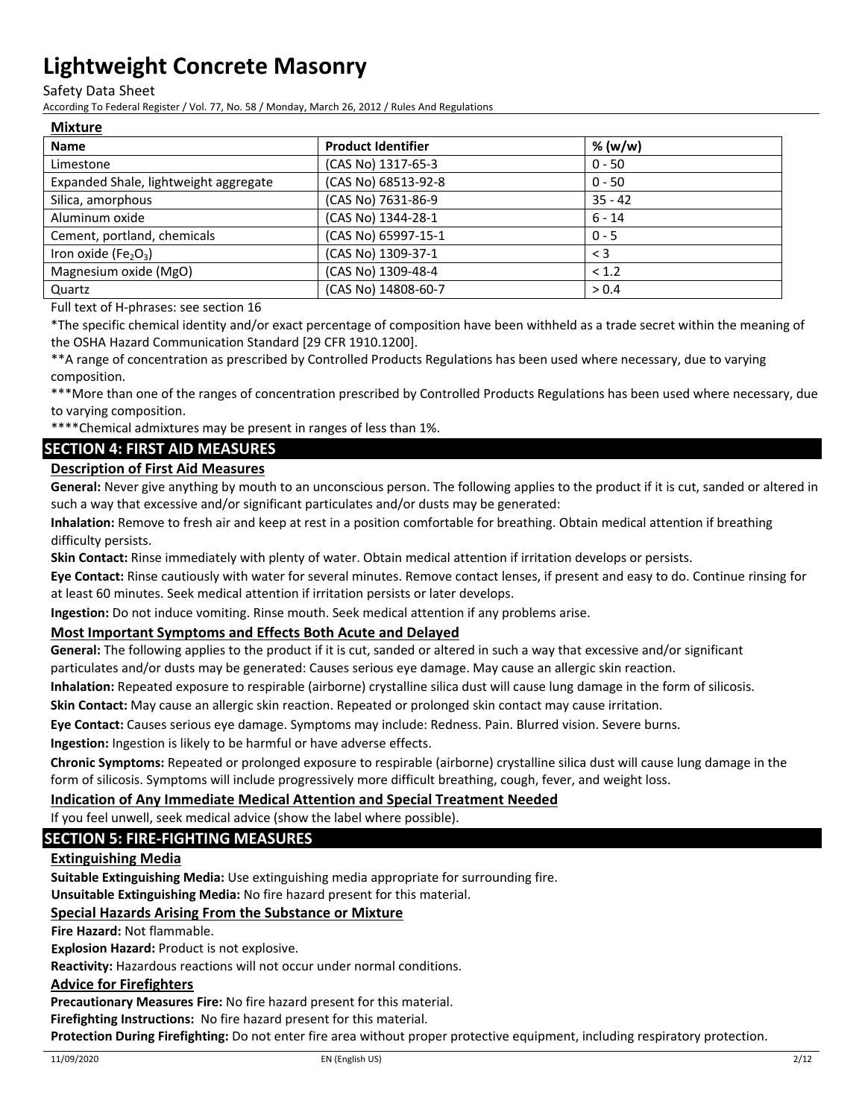Safety Data Sheet

According To Federal Register / Vol. 77, No. 58 / Monday, March 26, 2012 / Rules And Regulations

### **Mixture**

| <b>Name</b>                                  | <b>Product Identifier</b> | % (w/w)   |
|----------------------------------------------|---------------------------|-----------|
| Limestone                                    | (CAS No) 1317-65-3        | $0 - 50$  |
| Expanded Shale, lightweight aggregate        | (CAS No) 68513-92-8       | $0 - 50$  |
| Silica, amorphous                            | (CAS No) 7631-86-9        | $35 - 42$ |
| Aluminum oxide                               | (CAS No) 1344-28-1        | $6 - 14$  |
| Cement, portland, chemicals                  | (CAS No) 65997-15-1       | $0 - 5$   |
| Iron oxide (Fe <sub>2</sub> O <sub>3</sub> ) | (CAS No) 1309-37-1        | $\leq$ 3  |
| Magnesium oxide (MgO)                        | (CAS No) 1309-48-4        | < 1.2     |
| Quartz                                       | (CAS No) 14808-60-7       | > 0.4     |

Full text of H‐phrases: see section 16

\*The specific chemical identity and/or exact percentage of composition have been withheld as a trade secret within the meaning of the OSHA Hazard Communication Standard [29 CFR 1910.1200].

\*\*A range of concentration as prescribed by Controlled Products Regulations has been used where necessary, due to varying composition.

\*\*\*More than one of the ranges of concentration prescribed by Controlled Products Regulations has been used where necessary, due to varying composition.

\*\*\*\*Chemical admixtures may be present in ranges of less than 1%.

### **SECTION 4: FIRST AID MEASURES**

#### **Description of First Aid Measures**

**General:** Never give anything by mouth to an unconscious person. The following applies to the product if it is cut, sanded or altered in such a way that excessive and/or significant particulates and/or dusts may be generated:

**Inhalation:** Remove to fresh air and keep at rest in a position comfortable for breathing. Obtain medical attention if breathing difficulty persists.

**Skin Contact:** Rinse immediately with plenty of water. Obtain medical attention if irritation develops or persists.

**Eye Contact:** Rinse cautiously with water for several minutes. Remove contact lenses, if present and easy to do. Continue rinsing for at least 60 minutes. Seek medical attention if irritation persists or later develops.

**Ingestion:** Do not induce vomiting. Rinse mouth. Seek medical attention if any problems arise.

#### **Most Important Symptoms and Effects Both Acute and Delayed**

**General:** The following applies to the product if it is cut, sanded or altered in such a way that excessive and/or significant particulates and/or dusts may be generated: Causes serious eye damage. May cause an allergic skin reaction.

**Inhalation:** Repeated exposure to respirable (airborne) crystalline silica dust will cause lung damage in the form of silicosis.

**Skin Contact:** May cause an allergic skin reaction. Repeated or prolonged skin contact may cause irritation.

**Eye Contact:** Causes serious eye damage. Symptoms may include: Redness. Pain. Blurred vision. Severe burns.

**Ingestion:** Ingestion is likely to be harmful or have adverse effects.

**Chronic Symptoms:** Repeated or prolonged exposure to respirable (airborne) crystalline silica dust will cause lung damage in the form of silicosis. Symptoms will include progressively more difficult breathing, cough, fever, and weight loss.

#### **Indication of Any Immediate Medical Attention and Special Treatment Needed**

If you feel unwell, seek medical advice (show the label where possible).

#### **SECTION 5: FIRE‐FIGHTING MEASURES**

#### **Extinguishing Media**

**Suitable Extinguishing Media:** Use extinguishing media appropriate for surrounding fire.

**Unsuitable Extinguishing Media:** No fire hazard present for this material.

#### **Special Hazards Arising From the Substance or Mixture**

**Fire Hazard:** Not flammable.

**Explosion Hazard:** Product is not explosive.

**Reactivity:** Hazardous reactions will not occur under normal conditions.

#### **Advice for Firefighters**

**Precautionary Measures Fire:** No fire hazard present for this material.

**Firefighting Instructions:** No fire hazard present for this material.

**Protection During Firefighting:** Do not enter fire area without proper protective equipment, including respiratory protection.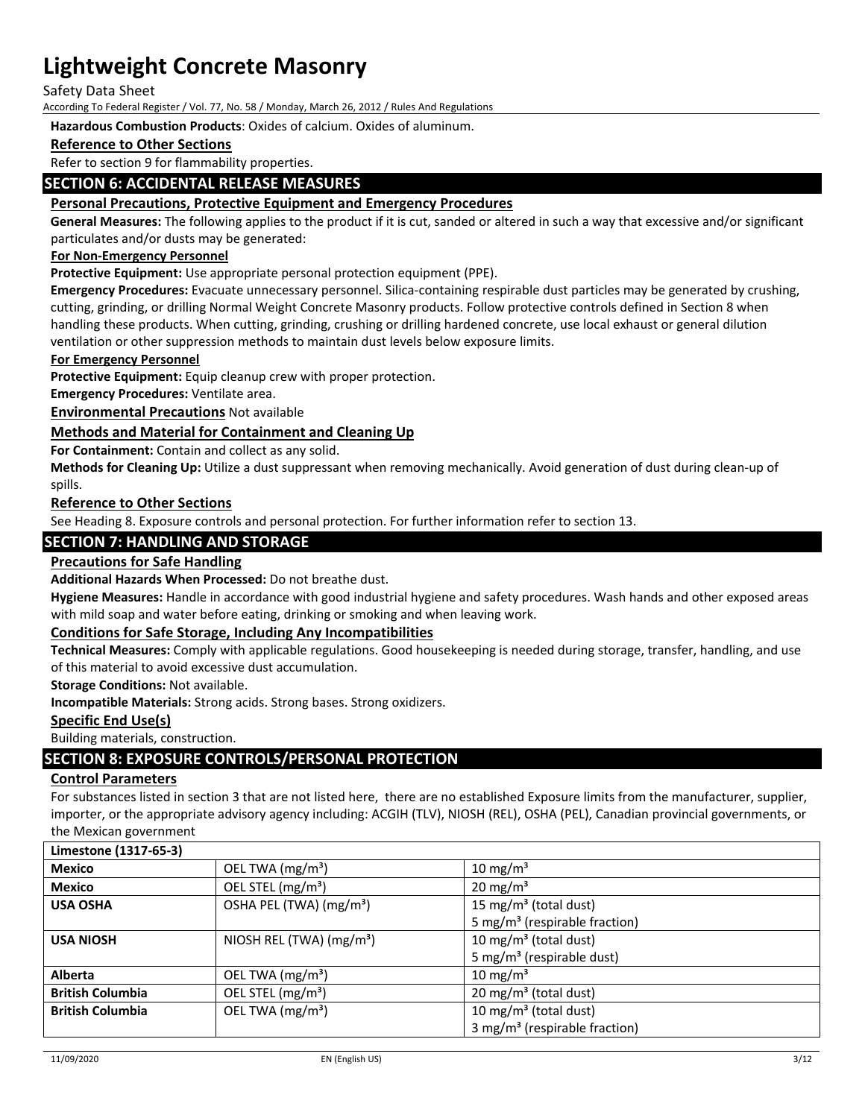Safety Data Sheet

According To Federal Register / Vol. 77, No. 58 / Monday, March 26, 2012 / Rules And Regulations

**Hazardous Combustion Products**: Oxides of calcium. Oxides of aluminum.

### **Reference to Other Sections**

Refer to section 9 for flammability properties.

### **SECTION 6: ACCIDENTAL RELEASE MEASURES**

#### **Personal Precautions, Protective Equipment and Emergency Procedures**

**General Measures:** The following applies to the product if it is cut, sanded or altered in such a way that excessive and/or significant particulates and/or dusts may be generated:

#### **For Non‐Emergency Personnel**

**Protective Equipment:** Use appropriate personal protection equipment (PPE).

**Emergency Procedures:** Evacuate unnecessary personnel. Silica‐containing respirable dust particles may be generated by crushing, cutting, grinding, or drilling Normal Weight Concrete Masonry products. Follow protective controls defined in Section 8 when handling these products. When cutting, grinding, crushing or drilling hardened concrete, use local exhaust or general dilution ventilation or other suppression methods to maintain dust levels below exposure limits.

#### **For Emergency Personnel**

**Protective Equipment:** Equip cleanup crew with proper protection.

**Emergency Procedures:** Ventilate area.

**Environmental Precautions** Not available

#### **Methods and Material for Containment and Cleaning Up**

**For Containment:** Contain and collect as any solid.

**Methods for Cleaning Up:** Utilize a dust suppressant when removing mechanically. Avoid generation of dust during clean‐up of spills.

#### **Reference to Other Sections**

See Heading 8. Exposure controls and personal protection. For further information refer to section 13.

### **SECTION 7: HANDLING AND STORAGE**

#### **Precautions for Safe Handling**

**Additional Hazards When Processed:** Do not breathe dust.

**Hygiene Measures:** Handle in accordance with good industrial hygiene and safety procedures. Wash hands and other exposed areas with mild soap and water before eating, drinking or smoking and when leaving work.

#### **Conditions for Safe Storage, Including Any Incompatibilities**

**Technical Measures:** Comply with applicable regulations. Good housekeeping is needed during storage, transfer, handling, and use of this material to avoid excessive dust accumulation.

**Storage Conditions:** Not available.

**Incompatible Materials:** Strong acids. Strong bases. Strong oxidizers.

#### **Specific End Use(s)**

Building materials, construction.

### **SECTION 8: EXPOSURE CONTROLS/PERSONAL PROTECTION**

#### **Control Parameters**

For substances listed in section 3 that are not listed here, there are no established Exposure limits from the manufacturer, supplier, importer, or the appropriate advisory agency including: ACGIH (TLV), NIOSH (REL), OSHA (PEL), Canadian provincial governments, or the Mexican government

| Limestone (1317-65-3)   |                                     |                                           |
|-------------------------|-------------------------------------|-------------------------------------------|
| <b>Mexico</b>           | OEL TWA (mg/m <sup>3</sup> )        | 10 mg/m <sup>3</sup>                      |
| <b>Mexico</b>           | OEL STEL (mg/m <sup>3</sup> )       | $20 \text{ mg/m}^3$                       |
| <b>USA OSHA</b>         | OSHA PEL (TWA) (mg/m <sup>3</sup> ) | 15 mg/m <sup>3</sup> (total dust)         |
|                         |                                     | 5 mg/m <sup>3</sup> (respirable fraction) |
| <b>USA NIOSH</b>        | NIOSH REL (TWA) $(mg/m3)$           | 10 mg/m <sup>3</sup> (total dust)         |
|                         |                                     | 5 mg/m <sup>3</sup> (respirable dust)     |
| <b>Alberta</b>          | OEL TWA (mg/m <sup>3</sup> )        | $10 \text{ mg/m}^3$                       |
| <b>British Columbia</b> | OEL STEL (mg/m <sup>3</sup> )       | $20 \text{ mg/m}^3$ (total dust)          |
| <b>British Columbia</b> | OEL TWA (mg/m <sup>3</sup> )        | 10 mg/m <sup>3</sup> (total dust)         |
|                         |                                     | 3 mg/m <sup>3</sup> (respirable fraction) |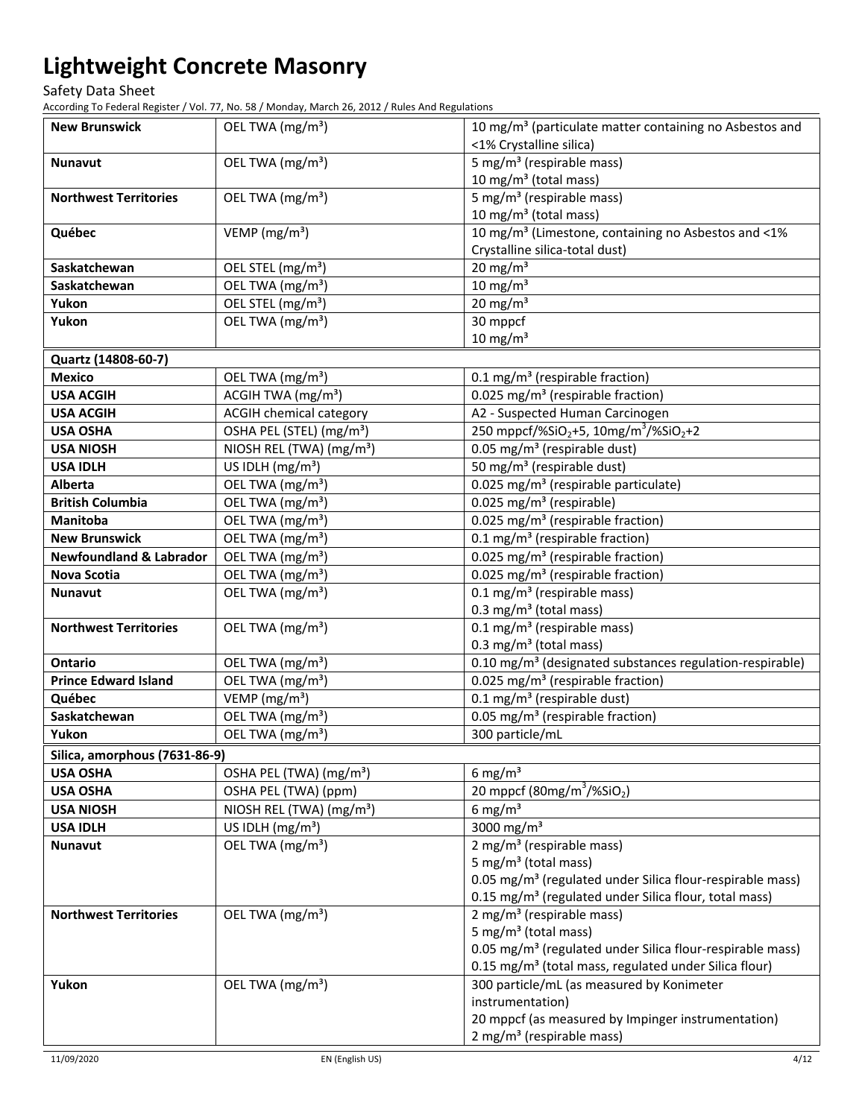Safety Data Sheet

According To Federal Register / Vol. 77, No. 58 / Monday, March 26, 2012 / Rules And Regulations

| <b>New Brunswick</b>               | OEL TWA (mg/m <sup>3</sup> )         | 10 mg/m <sup>3</sup> (particulate matter containing no Asbestos and<br><1% Crystalline silica) |
|------------------------------------|--------------------------------------|------------------------------------------------------------------------------------------------|
| <b>Nunavut</b>                     | OEL TWA (mg/m <sup>3</sup> )         | 5 mg/m <sup>3</sup> (respirable mass)                                                          |
|                                    |                                      | 10 mg/m <sup>3</sup> (total mass)                                                              |
| <b>Northwest Territories</b>       | OEL TWA (mg/m <sup>3</sup> )         | 5 mg/m <sup>3</sup> (respirable mass)<br>10 mg/m $3$ (total mass)                              |
| Québec                             | VEMP ( $mg/m3$ )                     | 10 mg/m <sup>3</sup> (Limestone, containing no Asbestos and <1%                                |
|                                    |                                      | Crystalline silica-total dust)                                                                 |
| Saskatchewan                       | OEL STEL (mg/m <sup>3</sup> )        | $20 \text{ mg/m}^3$                                                                            |
| Saskatchewan                       | OEL TWA (mg/m <sup>3</sup> )         | $10 \text{ mg/m}^3$                                                                            |
| Yukon                              | OEL STEL (mg/m <sup>3</sup> )        | $20 \text{ mg/m}^3$                                                                            |
| Yukon                              | OEL TWA (mg/m <sup>3</sup> )         | 30 mppcf                                                                                       |
|                                    |                                      | $10 \text{ mg/m}^3$                                                                            |
| Quartz (14808-60-7)                |                                      |                                                                                                |
| <b>Mexico</b>                      | OEL TWA (mg/m <sup>3</sup> )         | 0.1 mg/m <sup>3</sup> (respirable fraction)                                                    |
| <b>USA ACGIH</b>                   | ACGIH TWA (mg/m <sup>3</sup> )       | 0.025 mg/m <sup>3</sup> (respirable fraction)                                                  |
| <b>USA ACGIH</b>                   | <b>ACGIH chemical category</b>       | A2 - Suspected Human Carcinogen                                                                |
| <b>USA OSHA</b>                    | OSHA PEL (STEL) (mg/m <sup>3</sup> ) | 250 mppcf/%SiO <sub>2</sub> +5, 10mg/m <sup>3</sup> /%SiO <sub>2</sub> +2                      |
| <b>USA NIOSH</b>                   | NIOSH REL (TWA) (mg/m <sup>3</sup> ) | 0.05 mg/m <sup>3</sup> (respirable dust)                                                       |
| <b>USA IDLH</b>                    | US IDLH (mg/m <sup>3</sup> )         | 50 mg/m <sup>3</sup> (respirable dust)                                                         |
| <b>Alberta</b>                     | OEL TWA (mg/m <sup>3</sup> )         | 0.025 mg/m <sup>3</sup> (respirable particulate)                                               |
| <b>British Columbia</b>            | OEL TWA (mg/m <sup>3</sup> )         | $0.025$ mg/m <sup>3</sup> (respirable)                                                         |
| Manitoba                           | OEL TWA (mg/m <sup>3</sup> )         | 0.025 mg/m <sup>3</sup> (respirable fraction)                                                  |
| <b>New Brunswick</b>               | OEL TWA (mg/m <sup>3</sup> )         | 0.1 mg/m <sup>3</sup> (respirable fraction)                                                    |
| <b>Newfoundland &amp; Labrador</b> | OEL TWA (mg/m <sup>3</sup> )         | 0.025 mg/m <sup>3</sup> (respirable fraction)                                                  |
| <b>Nova Scotia</b>                 | OEL TWA (mg/m <sup>3</sup> )         | 0.025 mg/m <sup>3</sup> (respirable fraction)                                                  |
| <b>Nunavut</b>                     | OEL TWA (mg/m <sup>3</sup> )         | $0.1 \text{ mg/m}^3$ (respirable mass)<br>$0.3 \text{ mg/m}^3$ (total mass)                    |
| <b>Northwest Territories</b>       | OEL TWA (mg/m <sup>3</sup> )         | $0.1 \text{ mg/m}^3$ (respirable mass)                                                         |
|                                    |                                      | 0.3 mg/m <sup>3</sup> (total mass)                                                             |
| <b>Ontario</b>                     | OEL TWA (mg/m <sup>3</sup> )         | 0.10 mg/m <sup>3</sup> (designated substances regulation-respirable)                           |
| <b>Prince Edward Island</b>        | OEL TWA (mg/m <sup>3</sup> )         | 0.025 mg/m <sup>3</sup> (respirable fraction)                                                  |
| Québec                             | VEMP (mg/m <sup>3</sup> )            | 0.1 mg/m <sup>3</sup> (respirable dust)                                                        |
| Saskatchewan                       | OEL TWA (mg/m <sup>3</sup> )         | 0.05 mg/m <sup>3</sup> (respirable fraction)                                                   |
| Yukon                              | OEL TWA (mg/m <sup>3</sup> )         | 300 particle/mL                                                                                |
| Silica, amorphous (7631-86-9)      |                                      |                                                                                                |
| <b>USA OSHA</b>                    | OSHA PEL (TWA) (mg/m <sup>3</sup> )  | 6 mg/m $3$                                                                                     |
| <b>USA OSHA</b>                    | OSHA PEL (TWA) (ppm)                 | 20 mppcf (80mg/m <sup>3</sup> /%SiO <sub>2</sub> )                                             |
| <b>USA NIOSH</b>                   | NIOSH REL (TWA) (mg/m <sup>3</sup> ) | 6 mg/m <sup>3</sup>                                                                            |
| <b>USA IDLH</b>                    | US IDLH $(mg/m3)$                    | 3000 mg/m <sup>3</sup>                                                                         |
| Nunavut                            | OEL TWA (mg/m <sup>3</sup> )         | 2 mg/m <sup>3</sup> (respirable mass)                                                          |
|                                    |                                      | 5 mg/m <sup>3</sup> (total mass)                                                               |
|                                    |                                      | 0.05 mg/m <sup>3</sup> (regulated under Silica flour-respirable mass)                          |
|                                    |                                      | 0.15 mg/m <sup>3</sup> (regulated under Silica flour, total mass)                              |
| <b>Northwest Territories</b>       | OEL TWA (mg/m <sup>3</sup> )         | $2$ mg/m <sup>3</sup> (respirable mass)                                                        |
|                                    |                                      | 5 mg/m <sup>3</sup> (total mass)                                                               |
|                                    |                                      | 0.05 mg/m <sup>3</sup> (regulated under Silica flour-respirable mass)                          |
|                                    |                                      | 0.15 mg/m <sup>3</sup> (total mass, regulated under Silica flour)                              |
| Yukon                              | OEL TWA (mg/m <sup>3</sup> )         | 300 particle/mL (as measured by Konimeter                                                      |
|                                    |                                      | instrumentation)<br>20 mppcf (as measured by Impinger instrumentation)                         |
|                                    |                                      |                                                                                                |
|                                    |                                      | $2 \text{ mg/m}^3$ (respirable mass)                                                           |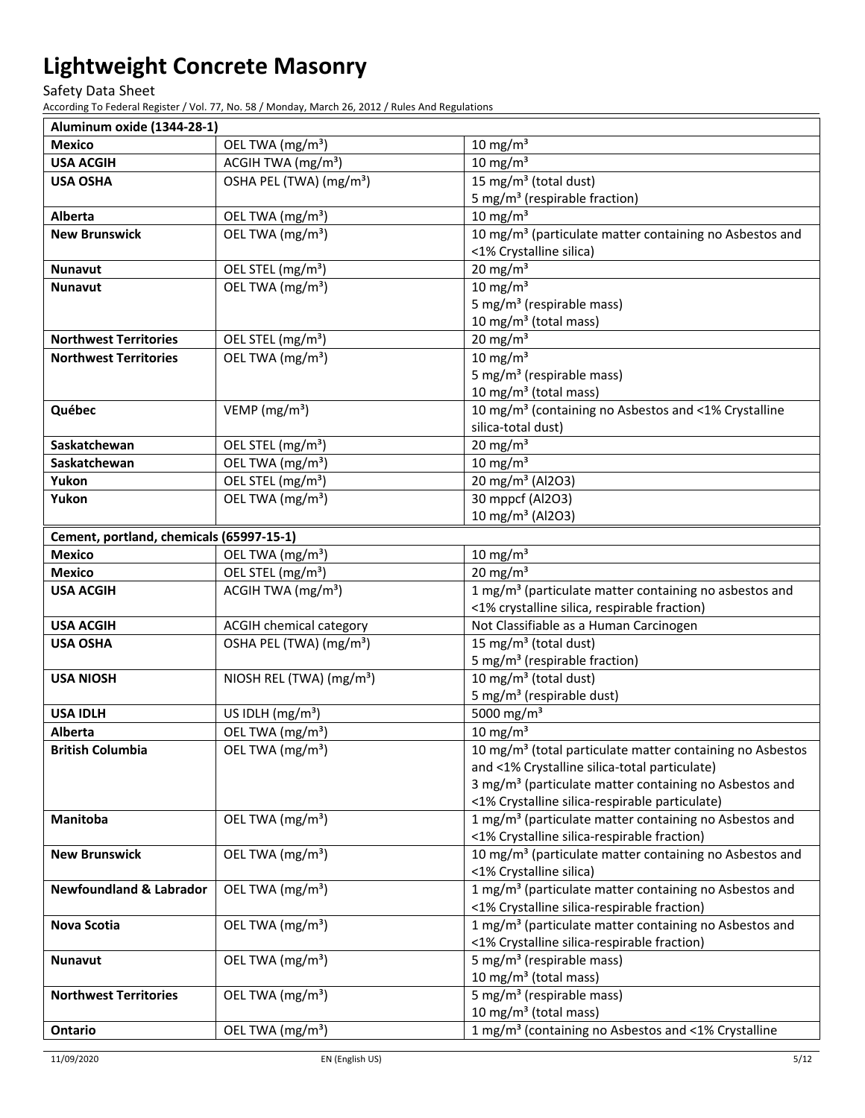Safety Data Sheet

According To Federal Register / Vol. 77, No. 58 / Monday, March 26, 2012 / Rules And Regulations

| Aluminum oxide (1344-28-1)               |                                      |                                                                                |
|------------------------------------------|--------------------------------------|--------------------------------------------------------------------------------|
| <b>Mexico</b>                            | OEL TWA (mg/m <sup>3</sup> )         | $10 \text{ mg/m}^3$                                                            |
| <b>USA ACGIH</b>                         | ACGIH TWA (mg/m <sup>3</sup> )       | $10 \text{ mg/m}^3$                                                            |
| <b>USA OSHA</b>                          | OSHA PEL (TWA) (mg/m <sup>3</sup> )  | 15 mg/m <sup>3</sup> (total dust)                                              |
|                                          |                                      | 5 mg/m <sup>3</sup> (respirable fraction)                                      |
| Alberta                                  | OEL TWA (mg/m <sup>3</sup> )         | $10 \text{ mg/m}^3$                                                            |
| <b>New Brunswick</b>                     | OEL TWA (mg/m <sup>3</sup> )         | 10 mg/m <sup>3</sup> (particulate matter containing no Asbestos and            |
|                                          |                                      | <1% Crystalline silica)                                                        |
| <b>Nunavut</b>                           | OEL STEL (mg/m <sup>3</sup> )        | $20$ mg/m <sup>3</sup>                                                         |
| <b>Nunavut</b>                           | OEL TWA (mg/m <sup>3</sup> )         | $10 \text{ mg/m}^3$                                                            |
|                                          |                                      | 5 mg/m <sup>3</sup> (respirable mass)                                          |
|                                          |                                      | 10 mg/m $3$ (total mass)                                                       |
| <b>Northwest Territories</b>             | OEL STEL (mg/m <sup>3</sup> )        | 20 mg/m $3$                                                                    |
| <b>Northwest Territories</b>             | OEL TWA (mg/m <sup>3</sup> )         | $10 \text{ mg/m}^3$                                                            |
|                                          |                                      | 5 mg/m <sup>3</sup> (respirable mass)                                          |
|                                          |                                      | 10 mg/m <sup>3</sup> (total mass)                                              |
| Québec                                   | VEMP ( $mg/m3$ )                     | 10 mg/m <sup>3</sup> (containing no Asbestos and <1% Crystalline               |
|                                          |                                      | silica-total dust)                                                             |
| Saskatchewan                             | OEL STEL (mg/m <sup>3</sup> )        | $20 \text{ mg/m}^3$                                                            |
| Saskatchewan                             | OEL TWA (mg/m <sup>3</sup> )         | $10 \text{ mg/m}^3$                                                            |
| Yukon                                    | OEL STEL (mg/m <sup>3</sup> )        | 20 mg/m <sup>3</sup> (Al2O3)                                                   |
| Yukon                                    | OEL TWA (mg/m <sup>3</sup> )         | 30 mppcf (Al2O3)                                                               |
|                                          |                                      | 10 mg/m <sup>3</sup> (Al2O3)                                                   |
| Cement, portland, chemicals (65997-15-1) |                                      |                                                                                |
| <b>Mexico</b>                            | OEL TWA (mg/m <sup>3</sup> )         | $10 \text{ mg/m}^3$                                                            |
| <b>Mexico</b>                            | OEL STEL (mg/m <sup>3</sup> )        | $20 \text{ mg/m}^3$                                                            |
| <b>USA ACGIH</b>                         | ACGIH TWA (mg/m <sup>3</sup> )       | 1 mg/m <sup>3</sup> (particulate matter containing no asbestos and             |
|                                          |                                      | <1% crystalline silica, respirable fraction)                                   |
| <b>USA ACGIH</b>                         | <b>ACGIH chemical category</b>       | Not Classifiable as a Human Carcinogen                                         |
| <b>USA OSHA</b>                          | OSHA PEL (TWA) (mg/m <sup>3</sup> )  | 15 mg/m <sup>3</sup> (total dust)                                              |
| <b>USA NIOSH</b>                         | NIOSH REL (TWA) (mg/m <sup>3</sup> ) | 5 mg/m <sup>3</sup> (respirable fraction)<br>10 mg/m <sup>3</sup> (total dust) |
|                                          |                                      | 5 mg/m <sup>3</sup> (respirable dust)                                          |
| <b>USA IDLH</b>                          | US IDLH (mg/m <sup>3</sup> )         | 5000 mg/m <sup>3</sup>                                                         |
| Alberta                                  | OEL TWA (mg/m <sup>3</sup> )         | $10 \text{ mg/m}^3$                                                            |
| <b>British Columbia</b>                  | OEL TWA (mg/m <sup>3</sup> )         | 10 mg/m <sup>3</sup> (total particulate matter containing no Asbestos          |
|                                          |                                      | and <1% Crystalline silica-total particulate)                                  |
|                                          |                                      | 3 mg/m <sup>3</sup> (particulate matter containing no Asbestos and             |
|                                          |                                      | <1% Crystalline silica-respirable particulate)                                 |
| Manitoba                                 | OEL TWA (mg/m <sup>3</sup> )         | 1 mg/m <sup>3</sup> (particulate matter containing no Asbestos and             |
|                                          |                                      | <1% Crystalline silica-respirable fraction)                                    |
| <b>New Brunswick</b>                     | OEL TWA (mg/m <sup>3</sup> )         | 10 mg/m <sup>3</sup> (particulate matter containing no Asbestos and            |
|                                          |                                      | <1% Crystalline silica)                                                        |
| <b>Newfoundland &amp; Labrador</b>       | OEL TWA (mg/m <sup>3</sup> )         | 1 mg/m <sup>3</sup> (particulate matter containing no Asbestos and             |
|                                          |                                      | <1% Crystalline silica-respirable fraction)                                    |
| <b>Nova Scotia</b>                       | OEL TWA (mg/m <sup>3</sup> )         | 1 mg/m <sup>3</sup> (particulate matter containing no Asbestos and             |
|                                          |                                      | <1% Crystalline silica-respirable fraction)                                    |
| <b>Nunavut</b>                           | OEL TWA (mg/m <sup>3</sup> )         | 5 mg/m <sup>3</sup> (respirable mass)                                          |
|                                          |                                      | 10 mg/m $3$ (total mass)                                                       |
| <b>Northwest Territories</b>             | OEL TWA (mg/m <sup>3</sup> )         | 5 mg/m <sup>3</sup> (respirable mass)                                          |
|                                          |                                      | 10 mg/m <sup>3</sup> (total mass)                                              |
|                                          | OEL TWA (mg/m <sup>3</sup> )         | 1 mg/m <sup>3</sup> (containing no Asbestos and <1% Crystalline                |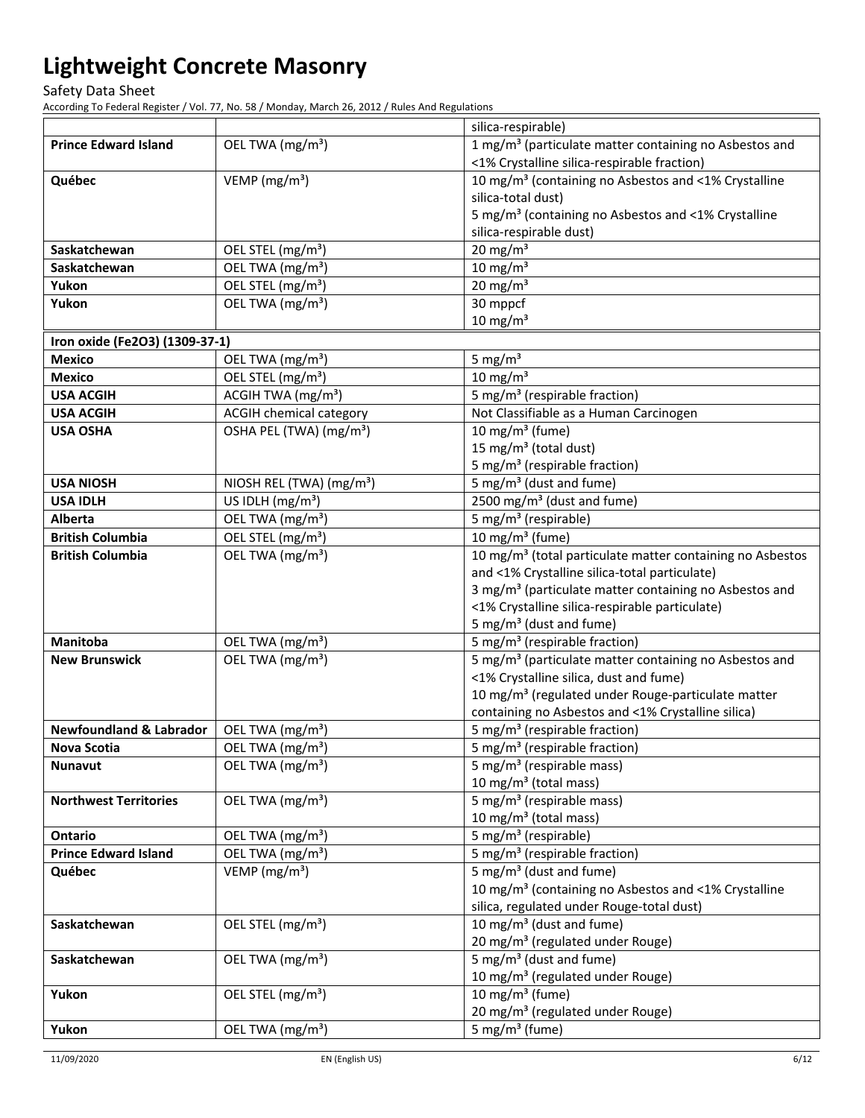Safety Data Sheet

According To Federal Register / Vol. 77, No. 58 / Monday, March 26, 2012 / Rules And Regulations

|                                    |                                      | silica-respirable)                                                    |
|------------------------------------|--------------------------------------|-----------------------------------------------------------------------|
| <b>Prince Edward Island</b>        | OEL TWA (mg/m <sup>3</sup> )         | 1 mg/m <sup>3</sup> (particulate matter containing no Asbestos and    |
|                                    |                                      | <1% Crystalline silica-respirable fraction)                           |
| Québec                             | VEMP ( $mg/m3$ )                     | 10 mg/m <sup>3</sup> (containing no Asbestos and <1% Crystalline      |
|                                    |                                      | silica-total dust)                                                    |
|                                    |                                      | 5 mg/m <sup>3</sup> (containing no Asbestos and <1% Crystalline       |
|                                    |                                      | silica-respirable dust)                                               |
| Saskatchewan                       | OEL STEL (mg/m <sup>3</sup> )        | $20 \text{ mg/m}^3$                                                   |
| Saskatchewan                       | OEL TWA (mg/m <sup>3</sup> )         | $10 \text{ mg/m}^3$                                                   |
| Yukon                              | OEL STEL (mg/m <sup>3</sup> )        | $20 \text{ mg/m}^3$                                                   |
| Yukon                              | OEL TWA (mg/m <sup>3</sup> )         | 30 mppcf                                                              |
|                                    |                                      | $10 \text{ mg/m}^3$                                                   |
| Iron oxide (Fe2O3) (1309-37-1)     |                                      |                                                                       |
| <b>Mexico</b>                      | OEL TWA (mg/m <sup>3</sup> )         | 5 mg/ $m3$                                                            |
| <b>Mexico</b>                      | OEL STEL (mg/m <sup>3</sup> )        | $10 \text{ mg/m}^3$                                                   |
| <b>USA ACGIH</b>                   | ACGIH TWA (mg/m <sup>3</sup> )       | 5 mg/m <sup>3</sup> (respirable fraction)                             |
| <b>USA ACGIH</b>                   | <b>ACGIH chemical category</b>       | Not Classifiable as a Human Carcinogen                                |
| <b>USA OSHA</b>                    | OSHA PEL (TWA) (mg/m <sup>3</sup> )  | 10 mg/m $3$ (fume)                                                    |
|                                    |                                      | 15 mg/m <sup>3</sup> (total dust)                                     |
|                                    |                                      | 5 mg/m <sup>3</sup> (respirable fraction)                             |
| <b>USA NIOSH</b>                   | NIOSH REL (TWA) (mg/m <sup>3</sup> ) | 5 mg/m <sup>3</sup> (dust and fume)                                   |
| <b>USA IDLH</b>                    | US IDLH (mg/m <sup>3</sup> )         | 2500 mg/m <sup>3</sup> (dust and fume)                                |
| Alberta                            | OEL TWA (mg/m <sup>3</sup> )         | 5 mg/m <sup>3</sup> (respirable)                                      |
| <b>British Columbia</b>            | OEL STEL (mg/m <sup>3</sup> )        | $10$ mg/m <sup>3</sup> (fume)                                         |
| <b>British Columbia</b>            | OEL TWA (mg/m <sup>3</sup> )         | 10 mg/m <sup>3</sup> (total particulate matter containing no Asbestos |
|                                    |                                      | and <1% Crystalline silica-total particulate)                         |
|                                    |                                      | 3 mg/m <sup>3</sup> (particulate matter containing no Asbestos and    |
|                                    |                                      | <1% Crystalline silica-respirable particulate)                        |
|                                    |                                      | 5 mg/m <sup>3</sup> (dust and fume)                                   |
| Manitoba                           | OEL TWA (mg/m <sup>3</sup> )         | 5 mg/m <sup>3</sup> (respirable fraction)                             |
| <b>New Brunswick</b>               | OEL TWA (mg/m <sup>3</sup> )         | 5 mg/m <sup>3</sup> (particulate matter containing no Asbestos and    |
|                                    |                                      | <1% Crystalline silica, dust and fume)                                |
|                                    |                                      | 10 mg/m <sup>3</sup> (regulated under Rouge-particulate matter        |
|                                    |                                      | containing no Asbestos and <1% Crystalline silica)                    |
| <b>Newfoundland &amp; Labrador</b> | OEL TWA (mg/m <sup>3</sup> )         | 5 mg/m <sup>3</sup> (respirable fraction)                             |
| Nova Scotia                        | OEL TWA (mg/m <sup>3</sup> )         | 5 mg/m <sup>3</sup> (respirable fraction)                             |
| <b>Nunavut</b>                     | OEL TWA (mg/m <sup>3</sup> )         | 5 mg/m <sup>3</sup> (respirable mass)                                 |
|                                    |                                      | 10 mg/m $3$ (total mass)                                              |
| <b>Northwest Territories</b>       | OEL TWA (mg/m <sup>3</sup> )         | 5 mg/m <sup>3</sup> (respirable mass)                                 |
|                                    |                                      | 10 mg/m <sup>3</sup> (total mass)                                     |
| Ontario                            | OEL TWA (mg/m <sup>3</sup> )         | 5 mg/m <sup>3</sup> (respirable)                                      |
| <b>Prince Edward Island</b>        | OEL TWA (mg/m <sup>3</sup> )         | 5 mg/m <sup>3</sup> (respirable fraction)                             |
| Québec                             | VEMP ( $mg/m3$ )                     | 5 mg/m <sup>3</sup> (dust and fume)                                   |
|                                    |                                      | 10 mg/m <sup>3</sup> (containing no Asbestos and <1% Crystalline      |
|                                    |                                      | silica, regulated under Rouge-total dust)                             |
| Saskatchewan                       | OEL STEL (mg/m <sup>3</sup> )        | 10 mg/m <sup>3</sup> (dust and fume)                                  |
|                                    |                                      | 20 mg/m <sup>3</sup> (regulated under Rouge)                          |
| Saskatchewan                       | OEL TWA (mg/m <sup>3</sup> )         | 5 mg/m <sup>3</sup> (dust and fume)                                   |
|                                    |                                      | 10 mg/m <sup>3</sup> (regulated under Rouge)                          |
| Yukon                              | OEL STEL (mg/m <sup>3</sup> )        | 10 mg/m <sup>3</sup> (fume)                                           |
|                                    |                                      | 20 mg/m <sup>3</sup> (regulated under Rouge)                          |
| Yukon                              | OEL TWA (mg/m <sup>3</sup> )         | 5 mg/m <sup>3</sup> (fume)                                            |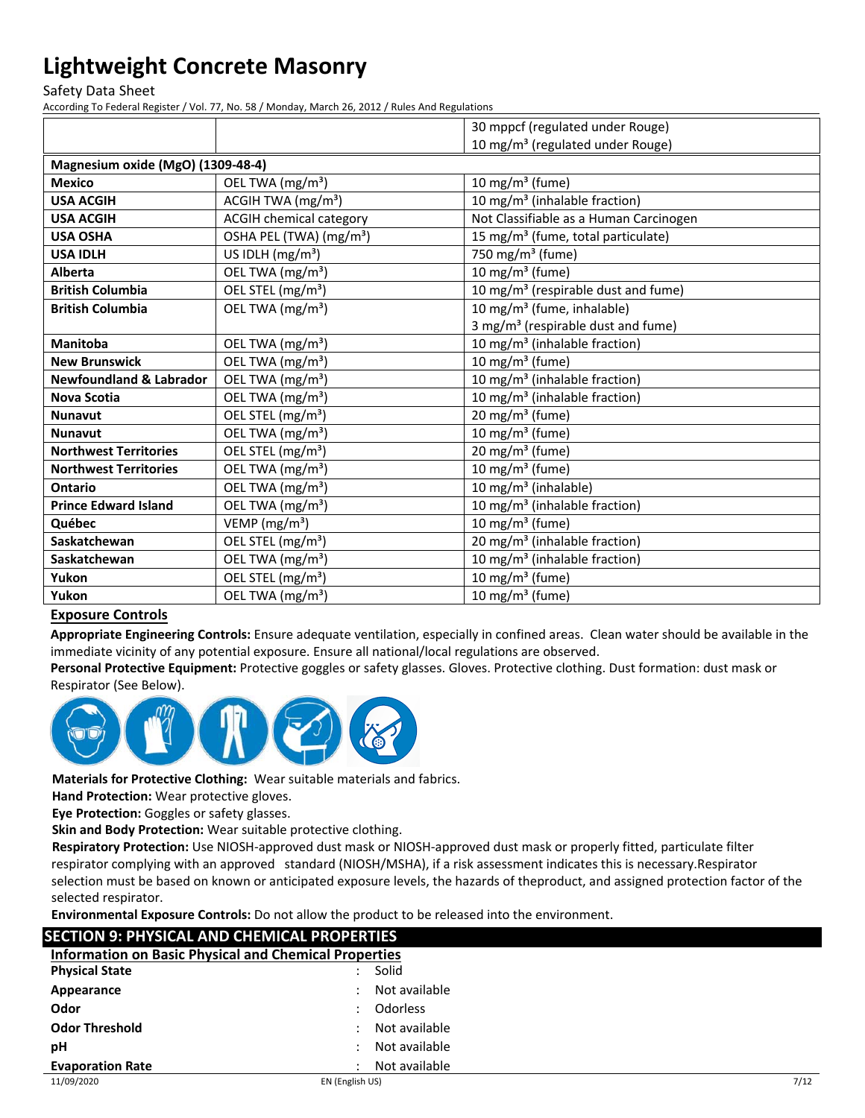Safety Data Sheet

According To Federal Register / Vol. 77, No. 58 / Monday, March 26, 2012 / Rules And Regulations

|                                    |                                     | 30 mppcf (regulated under Rouge)                |
|------------------------------------|-------------------------------------|-------------------------------------------------|
|                                    |                                     | 10 mg/m <sup>3</sup> (regulated under Rouge)    |
| Magnesium oxide (MgO) (1309-48-4)  |                                     |                                                 |
| <b>Mexico</b>                      | OEL TWA (mg/m <sup>3</sup> )        | 10 mg/m $3$ (fume)                              |
| <b>USA ACGIH</b>                   | ACGIH TWA (mg/m <sup>3</sup> )      | 10 mg/m <sup>3</sup> (inhalable fraction)       |
| <b>USA ACGIH</b>                   | <b>ACGIH chemical category</b>      | Not Classifiable as a Human Carcinogen          |
| <b>USA OSHA</b>                    | OSHA PEL (TWA) (mg/m <sup>3</sup> ) | 15 mg/m <sup>3</sup> (fume, total particulate)  |
| <b>USA IDLH</b>                    | US IDLH $(mg/m3)$                   | 750 mg/m <sup>3</sup> (fume)                    |
| Alberta                            | OEL TWA (mg/m <sup>3</sup> )        | 10 mg/m $3$ (fume)                              |
| <b>British Columbia</b>            | OEL STEL (mg/m <sup>3</sup> )       | 10 mg/m <sup>3</sup> (respirable dust and fume) |
| <b>British Columbia</b>            | OEL TWA (mg/m <sup>3</sup> )        | 10 mg/m <sup>3</sup> (fume, inhalable)          |
|                                    |                                     | 3 mg/m <sup>3</sup> (respirable dust and fume)  |
| <b>Manitoba</b>                    | OEL TWA (mg/m <sup>3</sup> )        | 10 mg/m <sup>3</sup> (inhalable fraction)       |
| <b>New Brunswick</b>               | OEL TWA (mg/m <sup>3</sup> )        | 10 mg/m $3$ (fume)                              |
| <b>Newfoundland &amp; Labrador</b> | OEL TWA (mg/m <sup>3</sup> )        | 10 mg/m <sup>3</sup> (inhalable fraction)       |
| <b>Nova Scotia</b>                 | OEL TWA (mg/m <sup>3</sup> )        | 10 mg/m <sup>3</sup> (inhalable fraction)       |
| <b>Nunavut</b>                     | OEL STEL (mg/m <sup>3</sup> )       | $20 \text{ mg/m}^3$ (fume)                      |
| <b>Nunavut</b>                     | OEL TWA (mg/m <sup>3</sup> )        | 10 mg/m $3$ (fume)                              |
| <b>Northwest Territories</b>       | OEL STEL (mg/m <sup>3</sup> )       | $20 \text{ mg/m}^3$ (fume)                      |
| <b>Northwest Territories</b>       | OEL TWA (mg/m <sup>3</sup> )        | 10 mg/m $3$ (fume)                              |
| Ontario                            | OEL TWA (mg/m <sup>3</sup> )        | 10 mg/m <sup>3</sup> (inhalable)                |
| <b>Prince Edward Island</b>        | OEL TWA (mg/m <sup>3</sup> )        | 10 mg/m <sup>3</sup> (inhalable fraction)       |
| Québec                             | VEMP ( $mg/m3$ )                    | 10 mg/m $3$ (fume)                              |
| Saskatchewan                       | OEL STEL (mg/m <sup>3</sup> )       | 20 mg/m <sup>3</sup> (inhalable fraction)       |
| Saskatchewan                       | OEL TWA (mg/m <sup>3</sup> )        | 10 mg/m <sup>3</sup> (inhalable fraction)       |
| Yukon                              | OEL STEL (mg/m <sup>3</sup> )       | 10 mg/m $3$ (fume)                              |
| Yukon                              | OEL TWA (mg/m <sup>3</sup> )        | 10 mg/m $3$ (fume)                              |
|                                    |                                     |                                                 |

### **Exposure Controls**

**Appropriate Engineering Controls:** Ensure adequate ventilation, especially in confined areas. Clean water should be available in the immediate vicinity of any potential exposure. Ensure all national/local regulations are observed.

**Personal Protective Equipment:** Protective goggles or safety glasses. Gloves. Protective clothing. Dust formation: dust mask or Respirator (See Below).



**Materials for Protective Clothing:** Wear suitable materials and fabrics.

**Hand Protection:** Wear protective gloves.

**Eye Protection:** Goggles or safety glasses.

**Skin and Body Protection:** Wear suitable protective clothing.

 respirator complying with an approved standard (NIOSH/MSHA), if a risk assessment indicates this is necessary.Respirator **Respiratory Protection:** Use NIOSH‐approved dust mask or NIOSH-approved dust mask or properly fitted, particulate filter selection must be based on known or anticipated exposure levels, the hazards of theproduct, and assigned protection factor of the selected respirator.

**Environmental Exposure Controls:** Do not allow the product to be released into the environment.

| <b>SECTION 9: PHYSICAL AND CHEMICAL PROPERTIES</b>           |                 |                 |      |
|--------------------------------------------------------------|-----------------|-----------------|------|
| <b>Information on Basic Physical and Chemical Properties</b> |                 |                 |      |
| <b>Physical State</b>                                        |                 | Solid           |      |
| Appearance                                                   |                 | Not available   |      |
| Odor                                                         |                 | <b>Odorless</b> |      |
| <b>Odor Threshold</b>                                        |                 | Not available   |      |
| рH                                                           |                 | Not available   |      |
| <b>Evaporation Rate</b>                                      |                 | Not available   |      |
| 11/09/2020                                                   | EN (English US) |                 | 7/12 |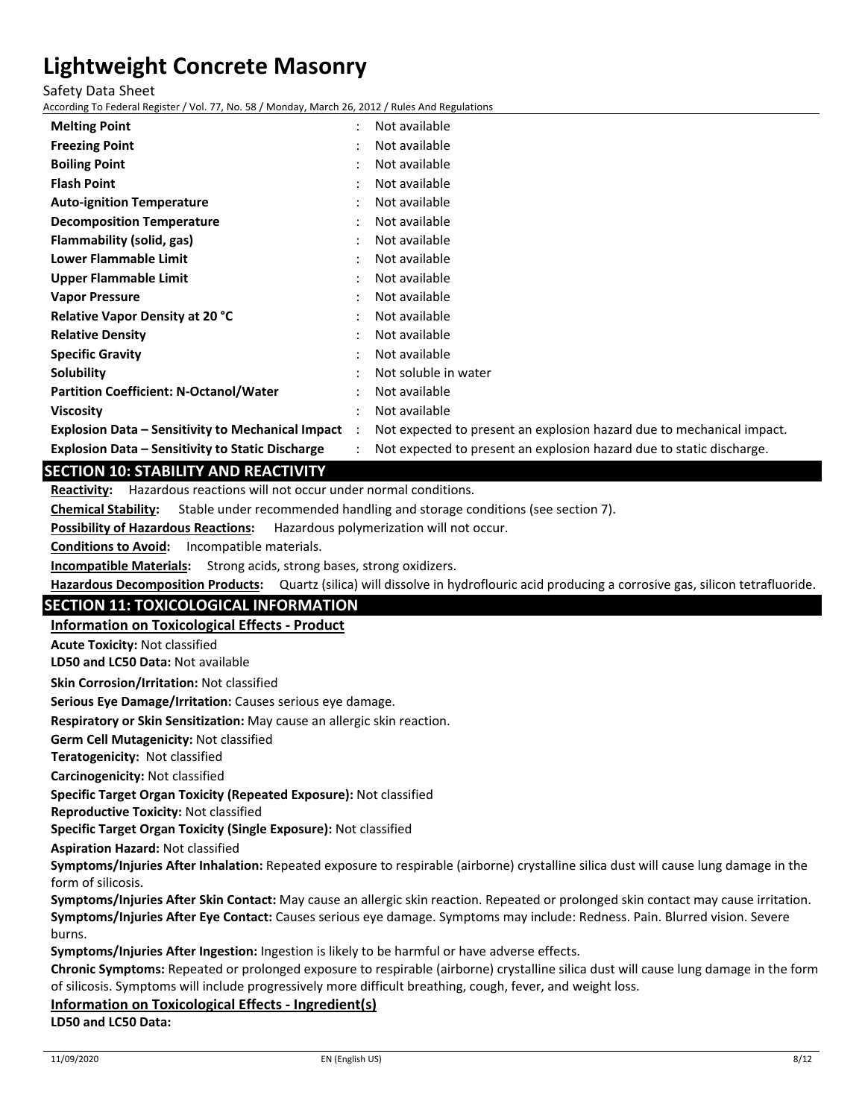Safety Data Sheet

According To Federal Register / Vol. 77, No. 58 / Monday, March 26, 2012 / Rules And Regulations

| <b>Melting Point</b>                                     | $\ddot{\phantom{0}}$ | Not available                                                         |
|----------------------------------------------------------|----------------------|-----------------------------------------------------------------------|
| <b>Freezing Point</b>                                    |                      | Not available                                                         |
| <b>Boiling Point</b>                                     |                      | Not available                                                         |
| <b>Flash Point</b>                                       |                      | Not available                                                         |
| <b>Auto-ignition Temperature</b>                         |                      | Not available                                                         |
| <b>Decomposition Temperature</b>                         |                      | Not available                                                         |
| Flammability (solid, gas)                                |                      | Not available                                                         |
| <b>Lower Flammable Limit</b>                             |                      | Not available                                                         |
| Upper Flammable Limit                                    |                      | Not available                                                         |
| <b>Vapor Pressure</b>                                    |                      | Not available                                                         |
| <b>Relative Vapor Density at 20 °C</b>                   |                      | Not available                                                         |
| <b>Relative Density</b>                                  |                      | Not available                                                         |
| <b>Specific Gravity</b>                                  |                      | Not available                                                         |
| Solubility                                               |                      | Not soluble in water                                                  |
| <b>Partition Coefficient: N-Octanol/Water</b>            |                      | Not available                                                         |
| <b>Viscosity</b>                                         |                      | Not available                                                         |
| <b>Explosion Data – Sensitivity to Mechanical Impact</b> | $\ddot{\phantom{0}}$ | Not expected to present an explosion hazard due to mechanical impact. |
| <b>Explosion Data - Sensitivity to Static Discharge</b>  |                      | Not expected to present an explosion hazard due to static discharge.  |
|                                                          |                      |                                                                       |

### **SECTION 10: STABILITY AND REACTIVITY**

Reactivity: Hazardous reactions will not occur under normal conditions.

**Chemical Stability:** Stable under recommended handling and storage conditions (see section 7).

**Possibility of Hazardous Reactions:** Hazardous polymerization will not occur.

**Conditions to Avoid:** Incompatible materials.

**Incompatible Materials:** Strong acids, strong bases, strong oxidizers.

**Hazardous Decomposition Products:** Quartz (silica) will dissolve in hydroflouric acid producing a corrosive gas, silicon tetrafluoride.

### **SECTION 11: TOXICOLOGICAL INFORMATION**

**Information on Toxicological Effects ‐ Product**

**Acute Toxicity:** Not classified

**LD50 and LC50 Data:** Not available

**Skin Corrosion/Irritation:** Not classified

**Serious Eye Damage/Irritation:** Causes serious eye damage.

**Respiratory or Skin Sensitization:** May cause an allergic skin reaction.

**Germ Cell Mutagenicity:** Not classified

**Teratogenicity:** Not classified

**Carcinogenicity:** Not classified

**Specific Target Organ Toxicity (Repeated Exposure):** Not classified

**Reproductive Toxicity:** Not classified

**Specific Target Organ Toxicity (Single Exposure):** Not classified

**Aspiration Hazard:** Not classified

**Symptoms/Injuries After Inhalation:** Repeated exposure to respirable (airborne) crystalline silica dust will cause lung damage in the form of silicosis.

**Symptoms/Injuries After Skin Contact:** May cause an allergic skin reaction. Repeated or prolonged skin contact may cause irritation. **Symptoms/Injuries After Eye Contact:** Causes serious eye damage. Symptoms may include: Redness. Pain. Blurred vision. Severe burns.

**Symptoms/Injuries After Ingestion:** Ingestion is likely to be harmful or have adverse effects.

**Chronic Symptoms:** Repeated or prolonged exposure to respirable (airborne) crystalline silica dust will cause lung damage in the form of silicosis. Symptoms will include progressively more difficult breathing, cough, fever, and weight loss.

#### **Information on Toxicological Effects ‐ Ingredient(s)**

**LD50 and LC50 Data:**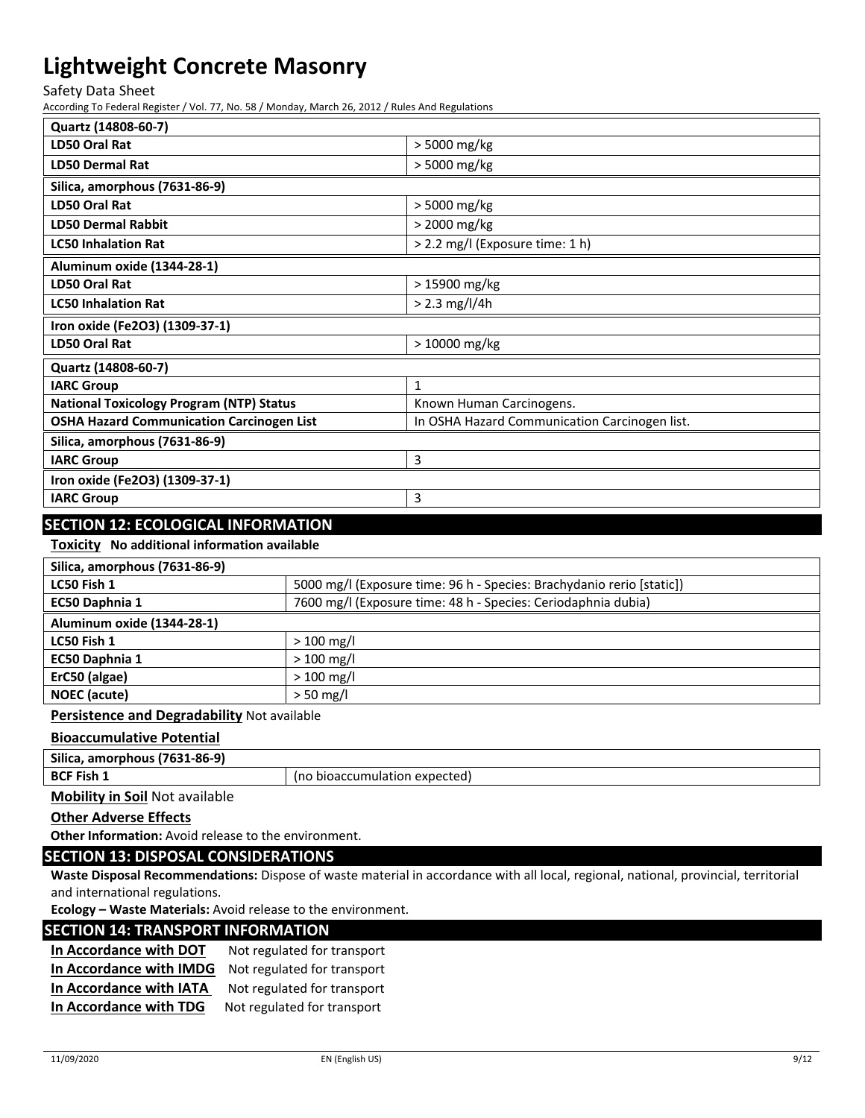Safety Data Sheet

According To Federal Register / Vol. 77, No. 58 / Monday, March 26, 2012 / Rules And Regulations

| Quartz (14808-60-7)                              |                                               |
|--------------------------------------------------|-----------------------------------------------|
| LD50 Oral Rat                                    | > 5000 mg/kg                                  |
| <b>LD50 Dermal Rat</b>                           | > 5000 mg/kg                                  |
| Silica, amorphous (7631-86-9)                    |                                               |
| LD50 Oral Rat                                    | > 5000 mg/kg                                  |
| <b>LD50 Dermal Rabbit</b>                        | > 2000 mg/kg                                  |
| <b>LC50 Inhalation Rat</b>                       | > 2.2 mg/l (Exposure time: 1 h)               |
| Aluminum oxide (1344-28-1)                       |                                               |
| LD50 Oral Rat                                    | > 15900 mg/kg                                 |
| <b>LC50 Inhalation Rat</b>                       | $> 2.3$ mg/l/4h                               |
| Iron oxide (Fe2O3) (1309-37-1)                   |                                               |
| LD50 Oral Rat                                    | $>10000$ mg/kg                                |
| Quartz (14808-60-7)                              |                                               |
| <b>IARC Group</b>                                | 1                                             |
| <b>National Toxicology Program (NTP) Status</b>  | Known Human Carcinogens.                      |
| <b>OSHA Hazard Communication Carcinogen List</b> | In OSHA Hazard Communication Carcinogen list. |
| Silica, amorphous (7631-86-9)                    |                                               |
| <b>IARC Group</b>                                | 3                                             |
| Iron oxide (Fe2O3) (1309-37-1)                   |                                               |
| <b>IARC Group</b>                                | 3                                             |
| $\sim$ $\sim$ $\sim$ $\sim$ $\sim$ $\sim$        |                                               |

### **SECTION 12: ECOLOGICAL INFORMATION**

**Toxicity No additional information available**

| Silica, amorphous (7631-86-9) |                                                                       |
|-------------------------------|-----------------------------------------------------------------------|
| LC50 Fish 1                   | 5000 mg/l (Exposure time: 96 h - Species: Brachydanio rerio [static]) |
| EC50 Daphnia 1                | 7600 mg/l (Exposure time: 48 h - Species: Ceriodaphnia dubia)         |
| Aluminum oxide (1344-28-1)    |                                                                       |
| LC50 Fish 1                   | $> 100$ mg/l                                                          |
| EC50 Daphnia 1                | $> 100$ mg/l                                                          |
| ErC50 (algae)                 | $> 100$ mg/l                                                          |
| <b>NOEC</b> (acute)           | $>$ 50 mg/l                                                           |
|                               |                                                                       |

**Persistence and Degradability** Not available

#### **Bioaccumulative Potential**

| <b>Silic</b><br>1-86-9)<br>. amorphous<br>1763 |                                            |
|------------------------------------------------|--------------------------------------------|
| <b>BCF Fi</b><br>` <sup>⊏</sup> ish ⊥          | expected)<br>$\sim$<br>tumulation<br>pioac |

**Mobility in Soil** Not available

**Other Adverse Effects**

**Other Information:** Avoid release to the environment.

### **SECTION 13: DISPOSAL CONSIDERATIONS**

**Waste Disposal Recommendations:** Dispose of waste material in accordance with all local, regional, national, provincial, territorial and international regulations.

**Ecology – Waste Materials:** Avoid release to the environment.

#### **SECTION 14: TRANSPORT INFORMATION**

| In Accordance with DOT  | Not regulated for transport |
|-------------------------|-----------------------------|
| In Accordance with IMDG | Not regulated for transport |
| In Accordance with IATA | Not regulated for transport |
| In Accordance with TDG  | Not regulated for transport |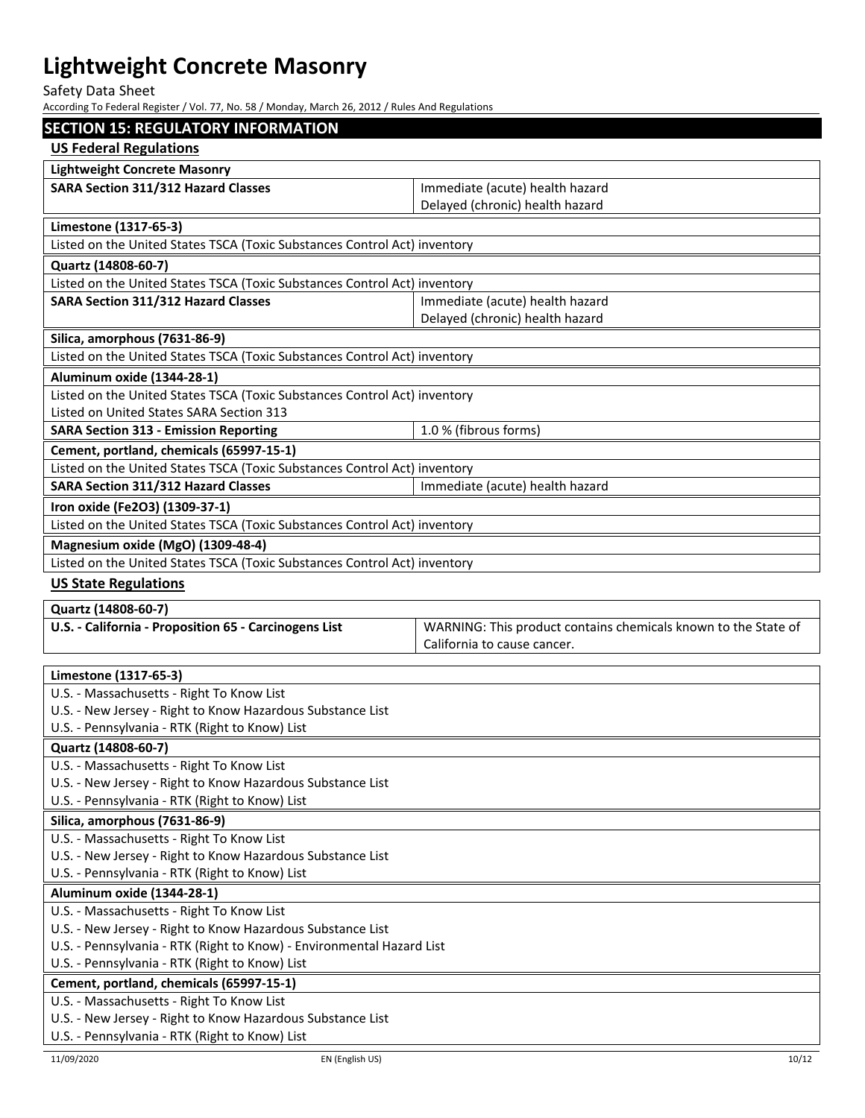Safety Data Sheet

According To Federal Register / Vol. 77, No. 58 / Monday, March 26, 2012 / Rules And Regulations

| <b>SECTION 15: REGULATORY INFORMATION</b>                                                               |                                                                                               |  |  |  |
|---------------------------------------------------------------------------------------------------------|-----------------------------------------------------------------------------------------------|--|--|--|
| <b>US Federal Regulations</b>                                                                           |                                                                                               |  |  |  |
| <b>Lightweight Concrete Masonry</b>                                                                     |                                                                                               |  |  |  |
| SARA Section 311/312 Hazard Classes                                                                     | Immediate (acute) health hazard                                                               |  |  |  |
|                                                                                                         | Delayed (chronic) health hazard                                                               |  |  |  |
| Limestone (1317-65-3)                                                                                   |                                                                                               |  |  |  |
| Listed on the United States TSCA (Toxic Substances Control Act) inventory                               |                                                                                               |  |  |  |
| Quartz (14808-60-7)                                                                                     |                                                                                               |  |  |  |
| Listed on the United States TSCA (Toxic Substances Control Act) inventory                               |                                                                                               |  |  |  |
| <b>SARA Section 311/312 Hazard Classes</b>                                                              | Immediate (acute) health hazard                                                               |  |  |  |
|                                                                                                         | Delayed (chronic) health hazard                                                               |  |  |  |
| Silica, amorphous (7631-86-9)                                                                           |                                                                                               |  |  |  |
| Listed on the United States TSCA (Toxic Substances Control Act) inventory                               |                                                                                               |  |  |  |
|                                                                                                         |                                                                                               |  |  |  |
| Aluminum oxide (1344-28-1)                                                                              |                                                                                               |  |  |  |
| Listed on the United States TSCA (Toxic Substances Control Act) inventory                               |                                                                                               |  |  |  |
| Listed on United States SARA Section 313                                                                |                                                                                               |  |  |  |
| <b>SARA Section 313 - Emission Reporting</b>                                                            | 1.0 % (fibrous forms)                                                                         |  |  |  |
| Cement, portland, chemicals (65997-15-1)                                                                |                                                                                               |  |  |  |
| Listed on the United States TSCA (Toxic Substances Control Act) inventory                               |                                                                                               |  |  |  |
| <b>SARA Section 311/312 Hazard Classes</b>                                                              | Immediate (acute) health hazard                                                               |  |  |  |
| Iron oxide (Fe2O3) (1309-37-1)                                                                          |                                                                                               |  |  |  |
| Listed on the United States TSCA (Toxic Substances Control Act) inventory                               |                                                                                               |  |  |  |
| Magnesium oxide (MgO) (1309-48-4)                                                                       |                                                                                               |  |  |  |
| Listed on the United States TSCA (Toxic Substances Control Act) inventory                               |                                                                                               |  |  |  |
| <b>US State Regulations</b>                                                                             |                                                                                               |  |  |  |
|                                                                                                         |                                                                                               |  |  |  |
|                                                                                                         |                                                                                               |  |  |  |
| Quartz (14808-60-7)                                                                                     |                                                                                               |  |  |  |
| U.S. - California - Proposition 65 - Carcinogens List                                                   | WARNING: This product contains chemicals known to the State of<br>California to cause cancer. |  |  |  |
|                                                                                                         |                                                                                               |  |  |  |
| Limestone (1317-65-3)                                                                                   |                                                                                               |  |  |  |
| U.S. - Massachusetts - Right To Know List                                                               |                                                                                               |  |  |  |
| U.S. - New Jersey - Right to Know Hazardous Substance List                                              |                                                                                               |  |  |  |
| U.S. - Pennsylvania - RTK (Right to Know) List                                                          |                                                                                               |  |  |  |
| Quartz (14808-60-7)                                                                                     |                                                                                               |  |  |  |
| U.S. - Massachusetts - Right To Know List                                                               |                                                                                               |  |  |  |
| U.S. - New Jersey - Right to Know Hazardous Substance List                                              |                                                                                               |  |  |  |
| U.S. - Pennsylvania - RTK (Right to Know) List                                                          |                                                                                               |  |  |  |
| Silica, amorphous (7631-86-9)                                                                           |                                                                                               |  |  |  |
| U.S. - Massachusetts - Right To Know List                                                               |                                                                                               |  |  |  |
| U.S. - New Jersey - Right to Know Hazardous Substance List                                              |                                                                                               |  |  |  |
| U.S. - Pennsylvania - RTK (Right to Know) List                                                          |                                                                                               |  |  |  |
| Aluminum oxide (1344-28-1)                                                                              |                                                                                               |  |  |  |
| U.S. - Massachusetts - Right To Know List                                                               |                                                                                               |  |  |  |
| U.S. - New Jersey - Right to Know Hazardous Substance List                                              |                                                                                               |  |  |  |
| U.S. - Pennsylvania - RTK (Right to Know) - Environmental Hazard List                                   |                                                                                               |  |  |  |
| U.S. - Pennsylvania - RTK (Right to Know) List                                                          |                                                                                               |  |  |  |
| Cement, portland, chemicals (65997-15-1)                                                                |                                                                                               |  |  |  |
| U.S. - Massachusetts - Right To Know List<br>U.S. - New Jersey - Right to Know Hazardous Substance List |                                                                                               |  |  |  |

U.S. ‐ Pennsylvania ‐ RTK (Right to Know) List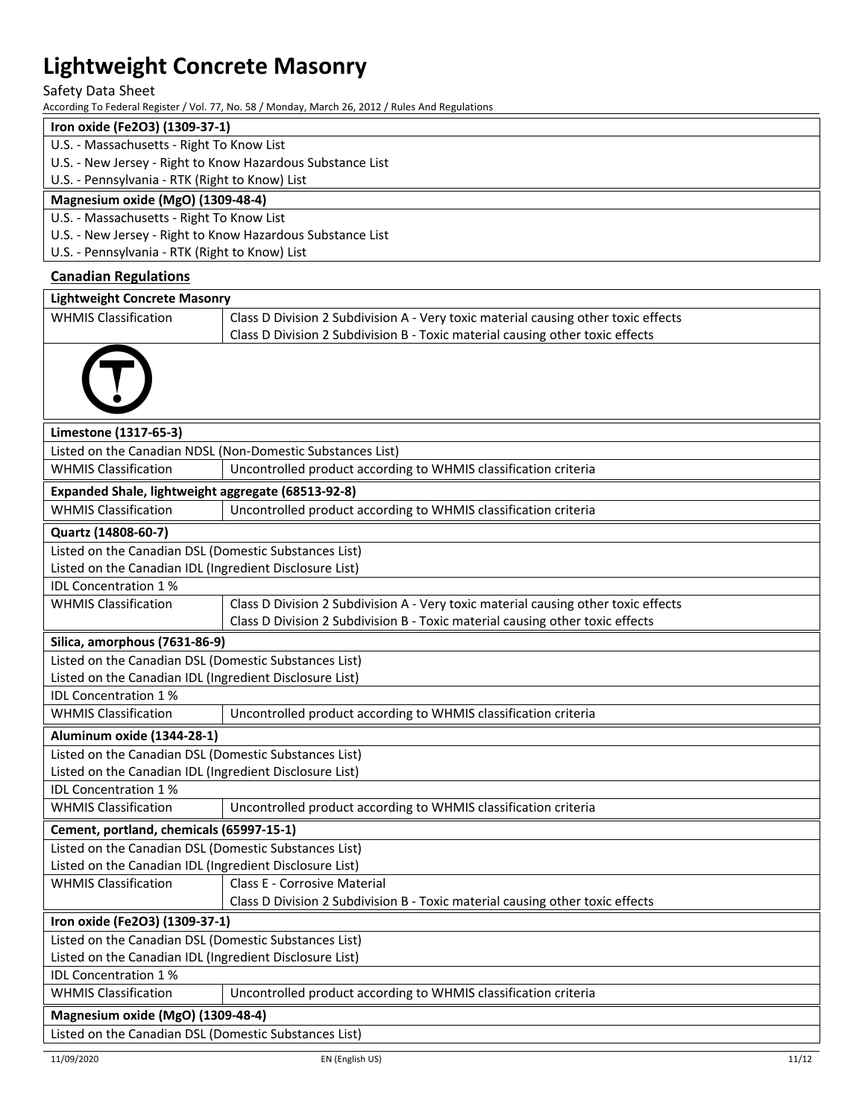#### Safety Data Sheet

According To Federal Register / Vol. 77, No. 58 / Monday, March 26, 2012 / Rules And Regulations

## **Iron oxide (Fe2O3) (1309‐37‐1)**

- U.S. ‐ Massachusetts ‐ Right To Know List
- U.S. ‐ New Jersey ‐ Right to Know Hazardous Substance List
- U.S. ‐ Pennsylvania ‐ RTK (Right to Know) List

#### **Magnesium oxide (MgO) (1309‐48‐4)**

U.S. ‐ Massachusetts ‐ Right To Know List

U.S. ‐ New Jersey ‐ Right to Know Hazardous Substance List

U.S. ‐ Pennsylvania ‐ RTK (Right to Know) List

### **Canadian Regulations**

| <b>Lightweight Concrete Masonry</b>                     |                                                                                                               |  |  |  |
|---------------------------------------------------------|---------------------------------------------------------------------------------------------------------------|--|--|--|
| <b>WHMIS Classification</b>                             | Class D Division 2 Subdivision A - Very toxic material causing other toxic effects                            |  |  |  |
|                                                         | Class D Division 2 Subdivision B - Toxic material causing other toxic effects                                 |  |  |  |
|                                                         |                                                                                                               |  |  |  |
| Limestone (1317-65-3)                                   |                                                                                                               |  |  |  |
|                                                         | Listed on the Canadian NDSL (Non-Domestic Substances List)                                                    |  |  |  |
| <b>WHMIS Classification</b>                             | Uncontrolled product according to WHMIS classification criteria                                               |  |  |  |
| Expanded Shale, lightweight aggregate (68513-92-8)      |                                                                                                               |  |  |  |
| <b>WHMIS Classification</b>                             | Uncontrolled product according to WHMIS classification criteria                                               |  |  |  |
| Quartz (14808-60-7)                                     |                                                                                                               |  |  |  |
| Listed on the Canadian DSL (Domestic Substances List)   |                                                                                                               |  |  |  |
| Listed on the Canadian IDL (Ingredient Disclosure List) |                                                                                                               |  |  |  |
| <b>IDL Concentration 1%</b>                             |                                                                                                               |  |  |  |
| <b>WHMIS Classification</b>                             | Class D Division 2 Subdivision A - Very toxic material causing other toxic effects                            |  |  |  |
|                                                         | Class D Division 2 Subdivision B - Toxic material causing other toxic effects                                 |  |  |  |
| Silica, amorphous (7631-86-9)                           |                                                                                                               |  |  |  |
| Listed on the Canadian DSL (Domestic Substances List)   |                                                                                                               |  |  |  |
| Listed on the Canadian IDL (Ingredient Disclosure List) |                                                                                                               |  |  |  |
| IDL Concentration 1%<br><b>WHMIS Classification</b>     |                                                                                                               |  |  |  |
|                                                         | Uncontrolled product according to WHMIS classification criteria                                               |  |  |  |
| Aluminum oxide (1344-28-1)                              |                                                                                                               |  |  |  |
| Listed on the Canadian DSL (Domestic Substances List)   |                                                                                                               |  |  |  |
| Listed on the Canadian IDL (Ingredient Disclosure List) |                                                                                                               |  |  |  |
| <b>IDL Concentration 1%</b>                             |                                                                                                               |  |  |  |
| <b>WHMIS Classification</b>                             | Uncontrolled product according to WHMIS classification criteria                                               |  |  |  |
| Cement, portland, chemicals (65997-15-1)                |                                                                                                               |  |  |  |
| Listed on the Canadian DSL (Domestic Substances List)   |                                                                                                               |  |  |  |
| Listed on the Canadian IDL (Ingredient Disclosure List) |                                                                                                               |  |  |  |
| <b>WHMIS Classification</b>                             | Class E - Corrosive Material<br>Class D Division 2 Subdivision B - Toxic material causing other toxic effects |  |  |  |
| Iron oxide (Fe2O3) (1309-37-1)                          |                                                                                                               |  |  |  |
| Listed on the Canadian DSL (Domestic Substances List)   |                                                                                                               |  |  |  |
| Listed on the Canadian IDL (Ingredient Disclosure List) |                                                                                                               |  |  |  |
| <b>IDL Concentration 1%</b>                             |                                                                                                               |  |  |  |
| <b>WHMIS Classification</b>                             | Uncontrolled product according to WHMIS classification criteria                                               |  |  |  |
| Magnesium oxide (MgO) (1309-48-4)                       |                                                                                                               |  |  |  |
| Listed on the Canadian DSL (Domestic Substances List)   |                                                                                                               |  |  |  |
|                                                         |                                                                                                               |  |  |  |